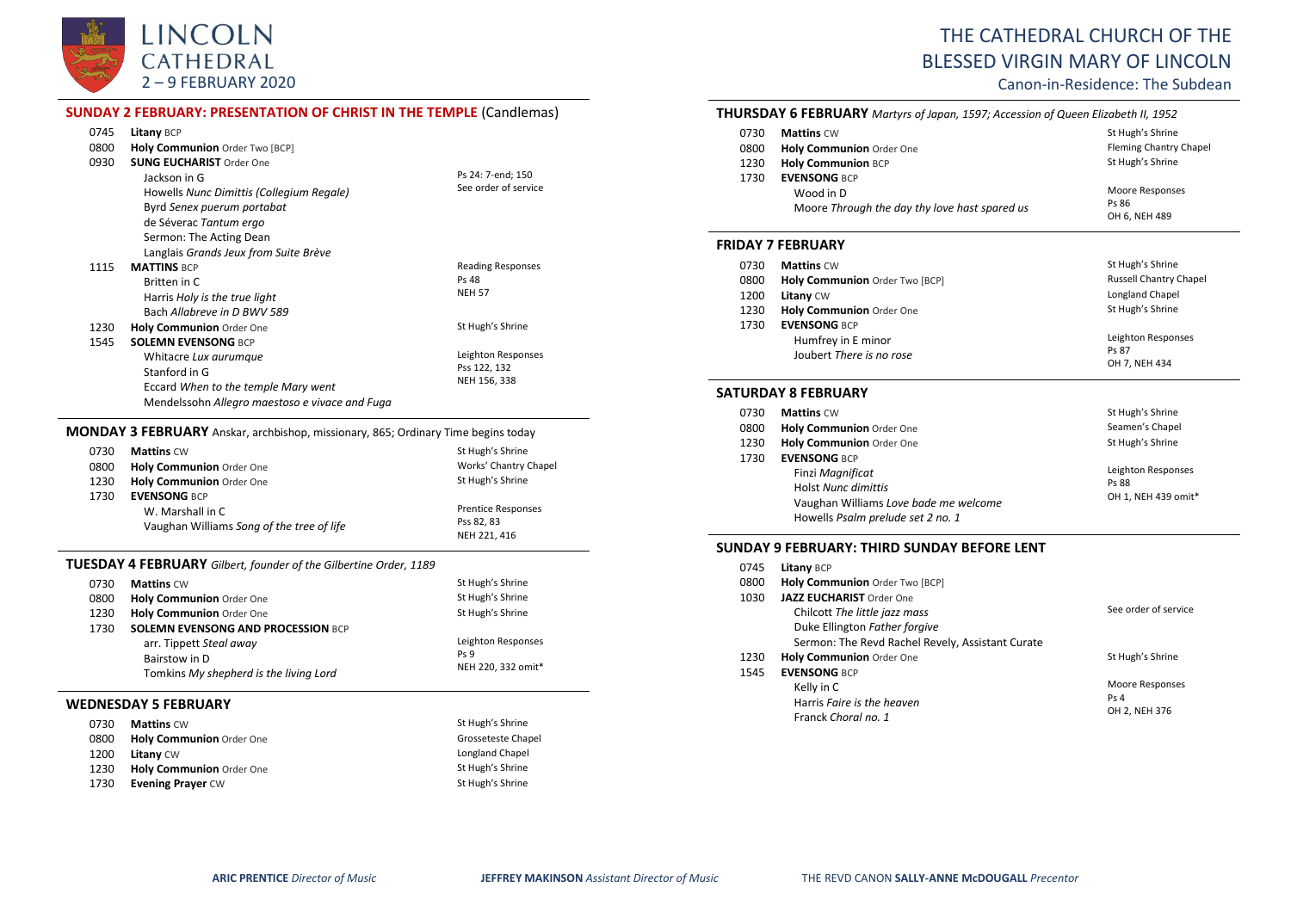

# THE CATHEDRAL CHURCH OF THE BLESSED VIRGIN MARY OF LINCOLN

# Canon-in-Residence: The Subdean

|      | <b>SUNDAY 2 FEBRUARY: PRESENTATION OF CHRIST IN THE TEMPLE (Candlemas)</b>               |                            |
|------|------------------------------------------------------------------------------------------|----------------------------|
| 0745 | Litany BCP                                                                               |                            |
| 0800 | Holy Communion Order Two [BCP]                                                           |                            |
| 0930 | <b>SUNG EUCHARIST Order One</b>                                                          |                            |
|      | Jackson in G                                                                             | Ps 24: 7-end; 150          |
|      | Howells Nunc Dimittis (Collegium Regale)                                                 | See order of service       |
|      | Byrd Senex puerum portabat                                                               |                            |
|      | de Séverac Tantum ergo                                                                   |                            |
|      | Sermon: The Acting Dean                                                                  |                            |
|      | Langlais Grands Jeux from Suite Brève                                                    |                            |
| 1115 | <b>MATTINS BCP</b>                                                                       | <b>Reading Responses</b>   |
|      | Britten in C                                                                             | <b>Ps 48</b>               |
|      | Harris Holy is the true light                                                            | <b>NEH 57</b>              |
|      | Bach Allabreve in D BWV 589                                                              |                            |
| 1230 | <b>Holy Communion Order One</b>                                                          | St Hugh's Shrine           |
| 1545 | <b>SOLEMN EVENSONG BCP</b>                                                               |                            |
|      | Whitacre Lux aurumque                                                                    | Leighton Responses         |
|      | Stanford in G                                                                            | Pss 122, 132               |
|      | Eccard When to the temple Mary went                                                      | NEH 156, 338               |
|      | Mendelssohn Allegro maestoso e vivace and Fuga                                           |                            |
|      |                                                                                          |                            |
|      | <b>MONDAY 3 FEBRUARY</b> Anskar, archbishop, missionary, 865; Ordinary Time begins today |                            |
| 0730 | <b>Mattins CW</b>                                                                        | St Hugh's Shrine           |
| 0800 | Holy Communion Order One                                                                 | Works' Chantry Chapel      |
| 1230 | Holy Communion Order One                                                                 | St Hugh's Shrine           |
| 1730 | <b>EVENSONG BCP</b>                                                                      |                            |
|      | W. Marshall in C                                                                         | <b>Prentice Responses</b>  |
|      | Vaughan Williams Song of the tree of life                                                | Pss 82, 83<br>NEH 221, 416 |
|      |                                                                                          |                            |
|      | <b>TUESDAY 4 FEBRUARY</b> Gilbert, founder of the Gilbertine Order, 1189                 |                            |
| 0730 | <b>Mattins CW</b>                                                                        | St Hugh's Shrine           |
| 0800 | Holy Communion Order One                                                                 | St Hugh's Shrine           |
| 1230 | Holy Communion Order One                                                                 | St Hugh's Shrine           |
| 1730 | <b>SOLEMN EVENSONG AND PROCESSION BCP</b>                                                |                            |
|      | arr. Tippett Steal away                                                                  | Leighton Responses         |
|      | Bairstow in D                                                                            | Ps 9                       |
|      | Tomkins My shepherd is the living Lord                                                   | NEH 220, 332 omit*         |
|      | <b>WEDNESDAY 5 FEBRUARY</b>                                                              |                            |
| 0730 | <b>Mattins CW</b>                                                                        | St Hugh's Shrine           |
| 0800 | <b>Holy Communion Order One</b>                                                          | Grosseteste Chapel         |
| 1200 | Litany CW                                                                                | Longland Chapel            |
| 1230 | Holy Communion Order One                                                                 | St Hugh's Shrine           |
| 1730 | <b>Evening Prayer CW</b>                                                                 | St Hugh's Shrine           |
|      |                                                                                          |                            |

# **THURSDAY 6 FEBRUARY** *Martyrs of Japan, 1597; Accession of Queen Elizabeth II, 1952* O730 **Mattins** CW St Hugh's Shrine CONDUCT ST MATTING STATE STATE STATE OF SHEET SHOW STATES ON MATTING SHEET SO MA<br> **D800 Holy Communion** Order One CONDUCT STATES SHEET SHEET SHEET SHEET SHEET SHEET SHEET SHEET SHEET SHEE 0800 **Holy Communion** Order One **Fleming Channel Channel Channel Channel Channel Channel Channel Channel Chapel**<br>
1230 **Holy Communion** BCP 1230 **Holy Communion** BCP

| 1730 | <b>EVENSONG BCP</b>                           |                 |
|------|-----------------------------------------------|-----------------|
|      | Wood in D                                     | Moore Responses |
|      | Moore Through the day thy love hast spared us | Ps 86           |
|      |                                               | OH 6. NEH 489   |

# **FRIDAY 7 FEBRUARY**

| 0730 | <b>Mattins CW</b>              | St Hugh's Shrine              |
|------|--------------------------------|-------------------------------|
| 0800 | Holy Communion Order Two [BCP] | <b>Russell Chantry Chapel</b> |
| 1200 | Litany CW                      | Longland Chapel               |
| 1230 | Holy Communion Order One       | St Hugh's Shrine              |
| 1730 | <b>EVENSONG BCP</b>            |                               |
|      | Humfrey in E minor             | Leighton Responses<br>Ps 87   |
|      | Joubert There is no rose       | OH 7, NEH 434                 |

# **SATURDAY 8 FEBRUARY**

| 0730 | <b>Mattins CW</b>                     | St Hugh's Shrine    |
|------|---------------------------------------|---------------------|
| 0800 | Holy Communion Order One              | Seamen's Chapel     |
| 1230 | Holy Communion Order One              | St Hugh's Shrine    |
| 1730 | <b>EVENSONG BCP</b>                   |                     |
|      | Finzi Magnificat                      | Leighton Responses  |
|      | <b>Holst Nunc dimittis</b>            | Ps 88               |
|      | Vaughan Williams Love bade me welcome | OH 1, NEH 439 omit* |
|      | Howells Psalm prelude set 2 no. 1     |                     |

## **SUNDAY 9 FEBRUARY: THIRD SUNDAY BEFORE LENT**

| 0745 | Litany BCP                                       |                      |
|------|--------------------------------------------------|----------------------|
| 0800 | Holy Communion Order Two [BCP]                   |                      |
| 1030 | <b>JAZZ EUCHARIST Order One</b>                  |                      |
|      | Chilcott The little jazz mass                    | See order of service |
|      | Duke Ellington Father forgive                    |                      |
|      | Sermon: The Revd Rachel Revely, Assistant Curate |                      |
| 1230 | Holy Communion Order One                         | St Hugh's Shrine     |
| 1545 | <b>EVENSONG BCP</b>                              |                      |
|      | Kelly in C                                       | Moore Responses      |
|      | Harris Faire is the heaven                       | Ps <sub>4</sub>      |
|      | Franck Choral no. 1                              | OH 2, NEH 376        |